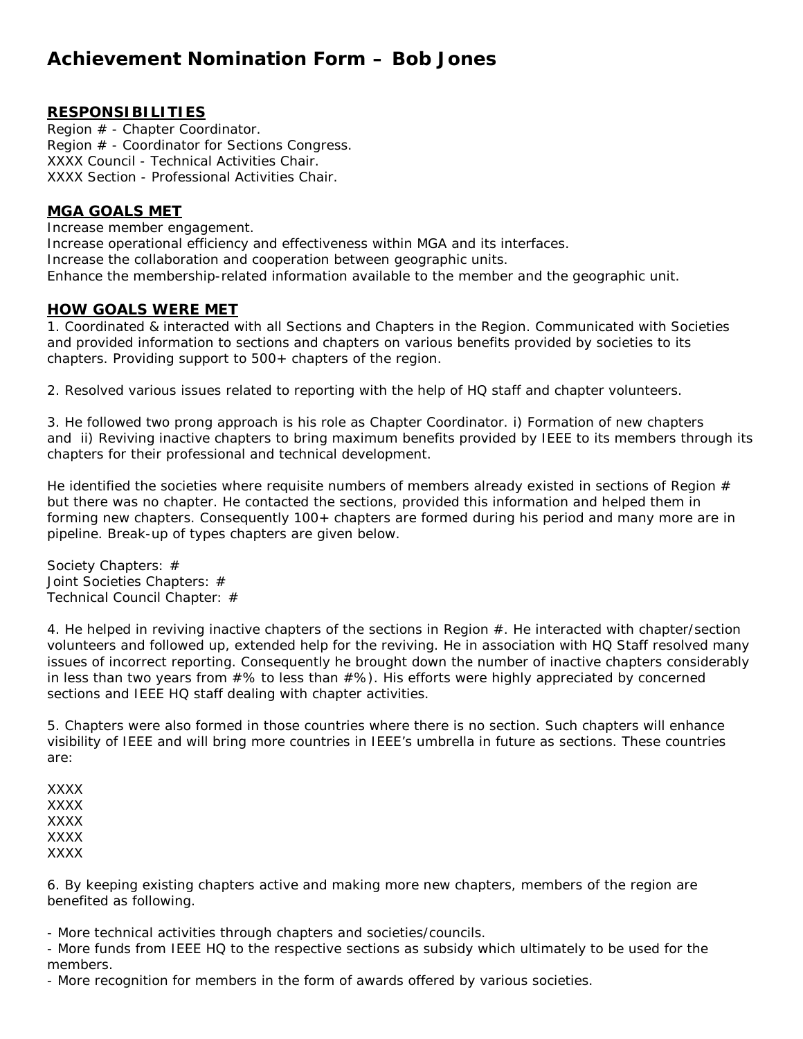# **Achievement Nomination Form – Bob Jones**

## **RESPONSIBILITIES**

Region # - Chapter Coordinator. Region # - Coordinator for Sections Congress. XXXX Council - Technical Activities Chair. XXXX Section - Professional Activities Chair.

### **MGA GOALS MET**

Increase member engagement. Increase operational efficiency and effectiveness within MGA and its interfaces. Increase the collaboration and cooperation between geographic units. Enhance the membership-related information available to the member and the geographic unit.

### **HOW GOALS WERE MET**

1. Coordinated & interacted with all Sections and Chapters in the Region. Communicated with Societies and provided information to sections and chapters on various benefits provided by societies to its chapters. Providing support to 500+ chapters of the region.

2. Resolved various issues related to reporting with the help of HQ staff and chapter volunteers.

3. He followed two prong approach is his role as Chapter Coordinator. i) Formation of new chapters and ii) Reviving inactive chapters to bring maximum benefits provided by IEEE to its members through its chapters for their professional and technical development.

He identified the societies where requisite numbers of members already existed in sections of Region  $#$ but there was no chapter. He contacted the sections, provided this information and helped them in forming new chapters. Consequently 100+ chapters are formed during his period and many more are in pipeline. Break-up of types chapters are given below.

Society Chapters: # Joint Societies Chapters: # Technical Council Chapter: #

4. He helped in reviving inactive chapters of the sections in Region #. He interacted with chapter/section volunteers and followed up, extended help for the reviving. He in association with HQ Staff resolved many issues of incorrect reporting. Consequently he brought down the number of inactive chapters considerably in less than two years from  $#$ % to less than  $#$ %). His efforts were highly appreciated by concerned sections and IEEE HQ staff dealing with chapter activities.

5. Chapters were also formed in those countries where there is no section. Such chapters will enhance visibility of IEEE and will bring more countries in IEEE's umbrella in future as sections. These countries are:

XXXX XXXX XXXX XXXX XXXX

6. By keeping existing chapters active and making more new chapters, members of the region are benefited as following.

- More technical activities through chapters and societies/councils.

- More funds from IEEE HQ to the respective sections as subsidy which ultimately to be used for the members.

- More recognition for members in the form of awards offered by various societies.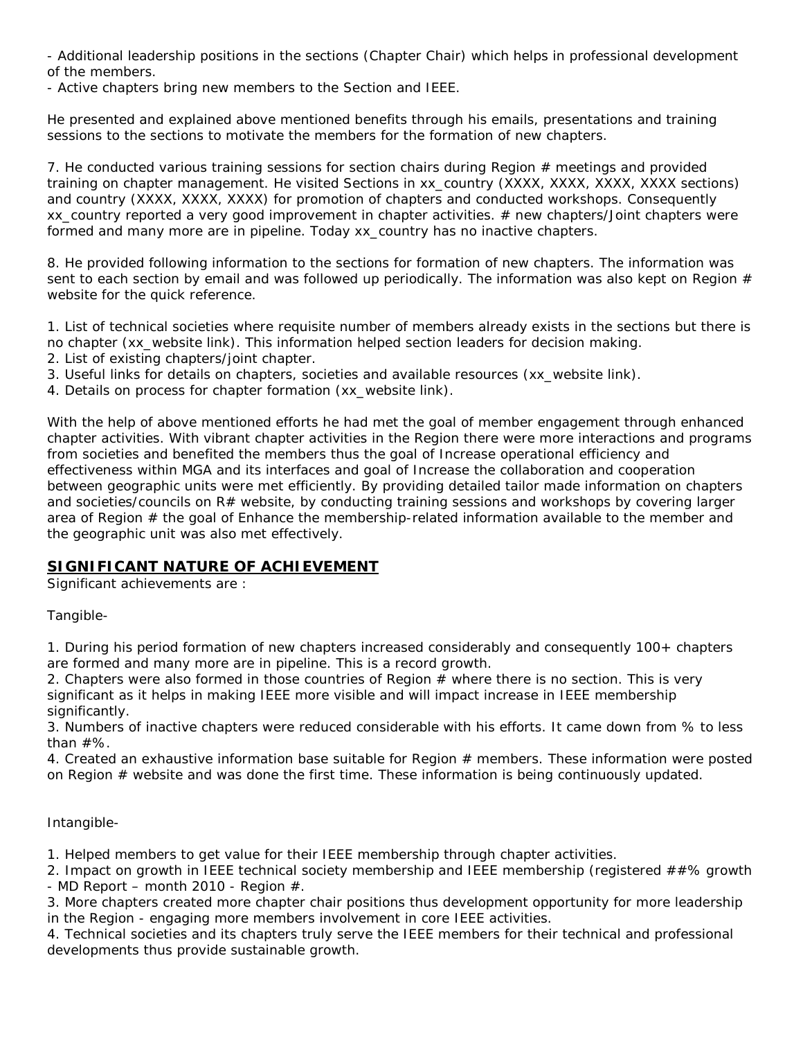- Additional leadership positions in the sections (Chapter Chair) which helps in professional development of the members.

- Active chapters bring new members to the Section and IEEE.

He presented and explained above mentioned benefits through his emails, presentations and training sessions to the sections to motivate the members for the formation of new chapters.

7. He conducted various training sessions for section chairs during Region  $#$  meetings and provided training on chapter management. He visited Sections in xx\_country (XXXX, XXXX, XXXX, XXXX sections) and country (XXXX, XXXX, XXXX) for promotion of chapters and conducted workshops. Consequently xx\_country reported a very good improvement in chapter activities. # new chapters/Joint chapters were formed and many more are in pipeline. Today xx\_country has no inactive chapters.

8. He provided following information to the sections for formation of new chapters. The information was sent to each section by email and was followed up periodically. The information was also kept on Region  $#$ website for the quick reference.

1. List of technical societies where requisite number of members already exists in the sections but there is no chapter (xx\_website link). This information helped section leaders for decision making.

- 2. List of existing chapters/joint chapter.
- 3. Useful links for details on chapters, societies and available resources (xx\_website link).
- 4. Details on process for chapter formation (xx\_website link).

With the help of above mentioned efforts he had met the goal of member engagement through enhanced chapter activities. With vibrant chapter activities in the Region there were more interactions and programs from societies and benefited the members thus the goal of Increase operational efficiency and effectiveness within MGA and its interfaces and goal of Increase the collaboration and cooperation between geographic units were met efficiently. By providing detailed tailor made information on chapters and societies/councils on R# website, by conducting training sessions and workshops by covering larger area of Region  $#$  the goal of Enhance the membership-related information available to the member and the geographic unit was also met effectively.

# **SIGNIFICANT NATURE OF ACHIEVEMENT**

Significant achievements are :

Tangible-

1. During his period formation of new chapters increased considerably and consequently 100+ chapters are formed and many more are in pipeline. This is a record growth.

2. Chapters were also formed in those countries of Region  $#$  where there is no section. This is very significant as it helps in making IEEE more visible and will impact increase in IEEE membership significantly.

3. Numbers of inactive chapters were reduced considerable with his efforts. It came down from % to less than #%.

4. Created an exhaustive information base suitable for Region # members. These information were posted on Region  $#$  website and was done the first time. These information is being continuously updated.

#### Intangible-

1. Helped members to get value for their IEEE membership through chapter activities.

2. Impact on growth in IEEE technical society membership and IEEE membership (registered ##% growth - MD Report – month 2010 - Region  $#$ .

3. More chapters created more chapter chair positions thus development opportunity for more leadership in the Region - engaging more members involvement in core IEEE activities.

4. Technical societies and its chapters truly serve the IEEE members for their technical and professional developments thus provide sustainable growth.